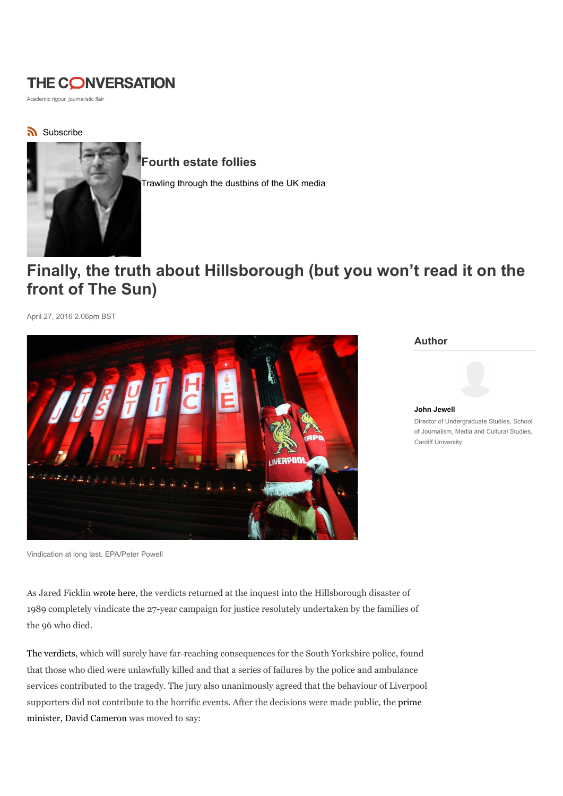# **THE CONVERSATION**

Academic rigour, journalistic flair

subscribe



Fourth estate follies

Trawling through the dustbins of the UK media

# Finally, the truth about Hillsborough (but you won't read it on the front of The Sun)

April 27, 2016 2.06pm BST



Vindication at long last. EPA/Peter Powell

As Jared Ficklin wrote here, the verdicts returned at the inquest into the Hillsborough disaster of 1989 completely vindicate the 27-year campaign for justice resolutely undertaken by the families of the 96 who died.

The verdicts, which will surely have far-reaching consequences for the South Yorkshire police, found that those who died were unlawfully killed and that a series of failures by the police and ambulance services contributed to the tragedy. The jury also unanimously agreed that the behaviour of Liverpool supporters did not contribute to the horrific events. After the decisions were made public, the prime minister, David Cameron was moved to say:

Author

John Jewell Director of Undergraduate Studies, School of Journalism, Media and Cultural Studies, Cardiff University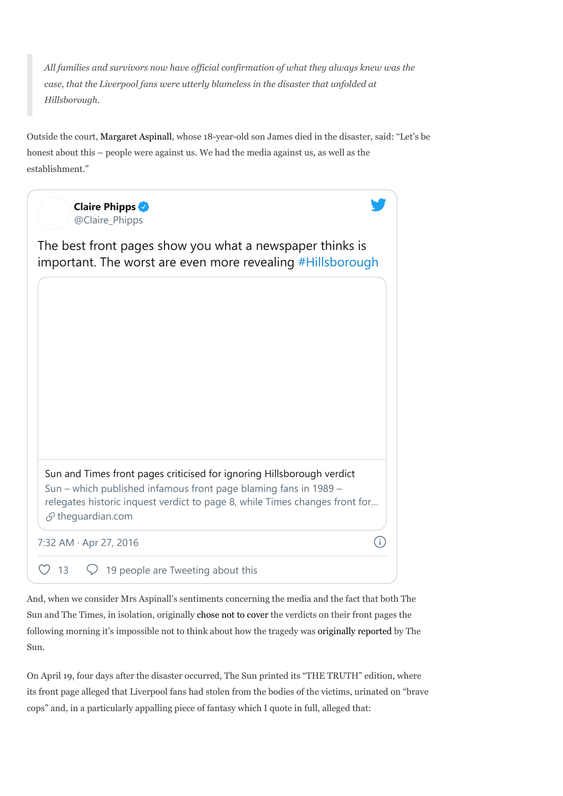All families and survivors now have official confirmation of what they always knew was the case, that the Liverpool fans were utterly blameless in the disaster that unfolded at Hillsborough.

Outside the court, Margaret Aspinall, whose 18-year-old son James died in the disaster, said: "Let's be honest about this – people were against us. We had the media against us, as well as the establishment."



And, when we consider Mrs Aspinall's sentiments concerning the media and the fact that both The Sun and The Times, in isolation, originally chose not to cover the verdicts on their front pages the following morning it's impossible not to think about how the tragedy was originally reported by The Sun.

On April 19, four days after the disaster occurred, The Sun printed its "THE TRUTH" edition, where its front page alleged that Liverpool fans had stolen from the bodies of the victims, urinated on "brave cops" and, in a particularly appalling piece of fantasy which I quote in full, alleged that: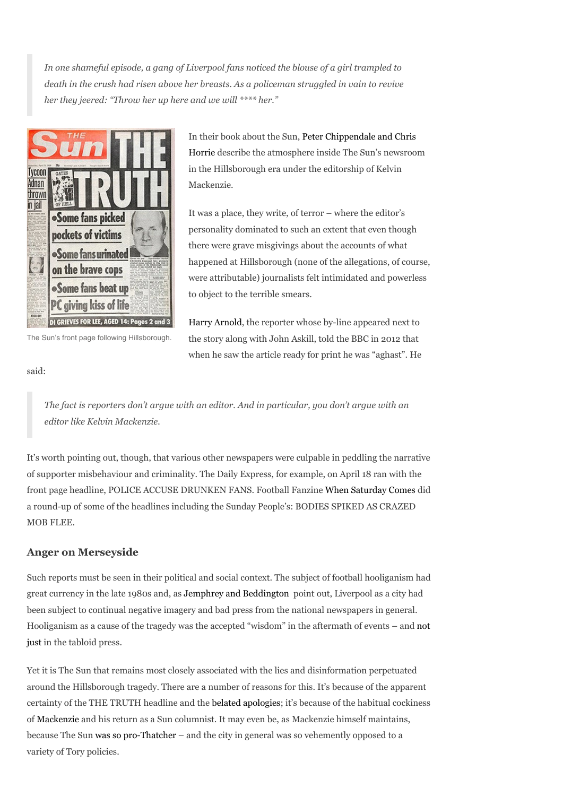In one shameful episode, a gang of Liverpool fans noticed the blouse of a girl trampled to death in the crush had risen above her breasts. As a policeman struggled in vain to revive her they jeered: "Throw her up here and we will \*\*\*\* her."



The Sun's front page following Hillsborough.

In their book about the Sun, Peter Chippendale and Chris Horrie describe the atmosphere inside The Sun's newsroom in the Hillsborough era under the editorship of Kelvin Mackenzie.

It was a place, they write, of terror – where the editor's personality dominated to such an extent that even though there were grave misgivings about the accounts of what happened at Hillsborough (none of the allegations, of course, were attributable) journalists felt intimidated and powerless to object to the terrible smears.

Harry Arnold, the reporter whose by-line appeared next to the story along with John Askill, told the BBC in 2012 that when he saw the article ready for print he was "aghast". He

#### said:

The fact is reporters don't argue with an editor. And in particular, you don't argue with an editor like Kelvin Mackenzie.

It's worth pointing out, though, that various other newspapers were culpable in peddling the narrative of supporter misbehaviour and criminality. The Daily Express, for example, on April 18 ran with the front page headline, POLICE ACCUSE DRUNKEN FANS. Football Fanzine When Saturday Comes did a round-up of some of the headlines including the Sunday People's: BODIES SPIKED AS CRAZED MOB FLEE.

## Anger on Merseyside

Such reports must be seen in their political and social context. The subject of football hooliganism had great currency in the late 1980s and, as Jemphrey and Beddington point out, Liverpool as a city had been subject to continual negative imagery and bad press from the national newspapers in general. Hooliganism as a cause of the tragedy was the accepted "wisdom" in the aftermath of events – and not just in the tabloid press.

Yet it is The Sun that remains most closely associated with the lies and disinformation perpetuated around the Hillsborough tragedy. There are a number of reasons for this. It's because of the apparent certainty of the THE TRUTH headline and the belated apologies; it's because of the habitual cockiness of Mackenzie and his return as a Sun columnist. It may even be, as Mackenzie himself maintains, because The Sun was so pro-Thatcher – and the city in general was so vehemently opposed to a variety of Tory policies.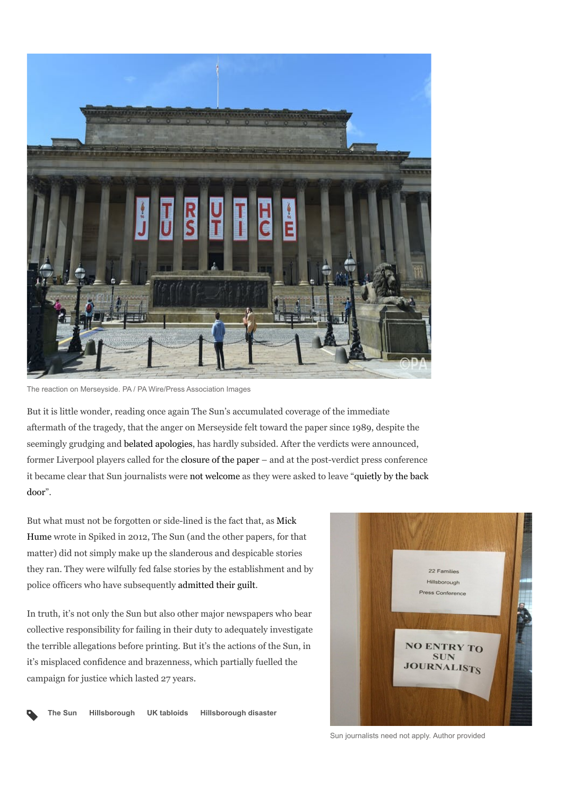

The reaction on Merseyside. PA / PA Wire/Press Association Images

But it is little wonder, reading once again The Sun's accumulated coverage of the immediate aftermath of the tragedy, that the anger on Merseyside felt toward the paper since 1989, despite the seemingly grudging and belated apologies, has hardly subsided. After the verdicts were announced, former Liverpool players called for the closure of the paper – and at the post-verdict press conference it became clear that Sun journalists were not welcome as they were asked to leave "quietly by the back door".

But what must not be forgotten or side-lined is the fact that, as Mick Hume wrote in Spiked in 2012, The Sun (and the other papers, for that matter) did not simply make up the slanderous and despicable stories they ran. They were wilfully fed false stories by the establishment and by police officers who have subsequently admitted their guilt.

In truth, it's not only the Sun but also other major newspapers who bear collective responsibility for failing in their duty to adequately investigate the terrible allegations before printing. But it's the actions of the Sun, in it's misplaced confidence and brazenness, which partially fuelled the campaign for justice which lasted 27 years.



The Sun Hillsborough UK tabloids Hillsborough disaster

 $\blacklozenge$ 

Sun journalists need not apply. Author provided